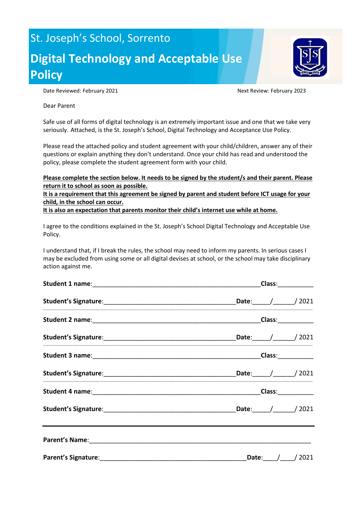# St. Joseph's School, Sorrento **Digital Technology and Acceptable Use Policy**



Date Reviewed: February 2021 **Next Review: February 2023** 

Dear Parent

Safe use of all forms of digital technology is an extremely important issue and one that we take very seriously. Attached, is the St. Joseph's School, Digital Technology and Acceptance Use Policy.

Please read the attached policy and student agreement with your child/children, answer any of their questions or explain anything they don't understand. Once your child has read and understood the policy, please complete the student agreement form with your child.

**Please complete the section below. It needs to be signed by the student/s and their parent. Please return it to school as soon as possible.** 

**It is a requirement that this agreement be signed by parent and student before ICT usage for your child, in the school can occur.**

**It is also an expectation that parents monitor their child's internet use while at home.**

I agree to the conditions explained in the St. Joseph's School Digital Technology and Acceptable Use Policy.

I understand that, if I break the rules, the school may need to inform my parents. In serious cases I may be excluded from using some or all digital devises at school, or the school may take disciplinary action against me.

|                            | Class:              |
|----------------------------|---------------------|
|                            | 2021 '<br>Date: /   |
|                            | Class:              |
|                            | 2021                |
|                            | Class: _______      |
|                            | Date: $/$ /<br>2021 |
|                            | Class:              |
|                            | Date: /<br>2021     |
|                            |                     |
| <b>Parent's Signature:</b> | Date:               |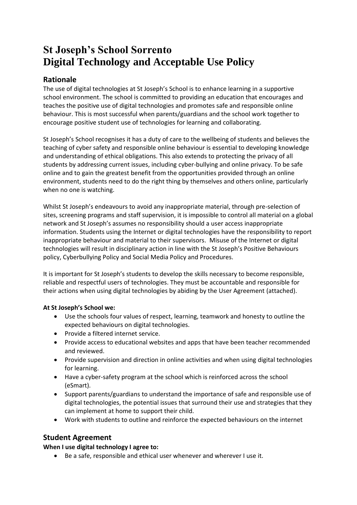# **St Joseph's School Sorrento Digital Technology and Acceptable Use Policy**

## **Rationale**

The use of digital technologies at St Joseph's School is to enhance learning in a supportive school environment. The school is committed to providing an education that encourages and teaches the positive use of digital technologies and promotes safe and responsible online behaviour. This is most successful when parents/guardians and the school work together to encourage positive student use of technologies for learning and collaborating.

St Joseph's School recognises it has a duty of care to the wellbeing of students and believes the teaching of cyber safety and responsible online behaviour is essential to developing knowledge and understanding of ethical obligations. This also extends to protecting the privacy of all students by addressing current issues, including cyber-bullying and online privacy. To be safe online and to gain the greatest benefit from the opportunities provided through an online environment, students need to do the right thing by themselves and others online, particularly when no one is watching.

Whilst St Joseph's endeavours to avoid any inappropriate material, through pre-selection of sites, screening programs and staff supervision, it is impossible to control all material on a global network and St Joseph's assumes no responsibility should a user access inappropriate information. Students using the Internet or digital technologies have the responsibility to report inappropriate behaviour and material to their supervisors. Misuse of the Internet or digital technologies will result in disciplinary action in line with the St Joseph's Positive Behaviours policy, Cyberbullying Policy and Social Media Policy and Procedures.

It is important for St Joseph's students to develop the skills necessary to become responsible, reliable and respectful users of technologies. They must be accountable and responsible for their actions when using digital technologies by abiding by the User Agreement (attached).

#### **At St Joseph's School we:**

- Use the schools four values of respect, learning, teamwork and honesty to outline the expected behaviours on digital technologies.
- Provide a filtered internet service.
- Provide access to educational websites and apps that have been teacher recommended and reviewed.
- Provide supervision and direction in online activities and when using digital technologies for learning.
- Have a cyber-safety program at the school which is reinforced across the school (eSmart).
- Support parents/guardians to understand the importance of safe and responsible use of digital technologies, the potential issues that surround their use and strategies that they can implement at home to support their child.
- Work with students to outline and reinforce the expected behaviours on the internet

## **Student Agreement**

#### **When I use digital technology I agree to:**

Be a safe, responsible and ethical user whenever and wherever I use it.